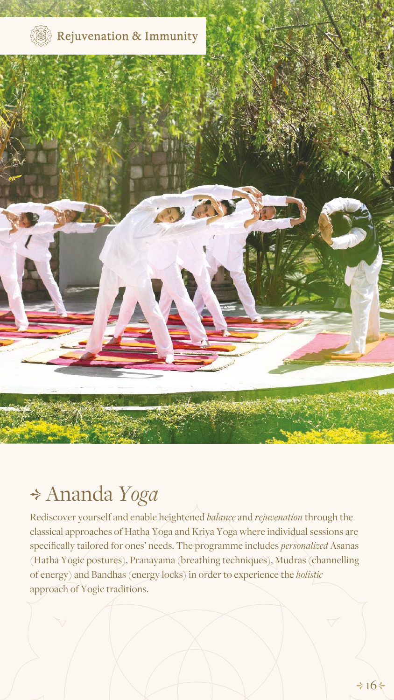Rediscover yourself and enable heightened *balance* and *rejuvenation* through the classical approaches of Hatha Yoga and Kriya Yoga where individual sessions are specifically tailored for ones' needs. The programme includes *personalized* Asanas (Hatha Yogic postures), Pranayama (breathing techniques), Mudras (channelling of energy) and Bandhas (energy locks) in order to experience the *holistic* approach of Yogic traditions.

## Ananda *Yoga*



## Rejuvenation & Immunity